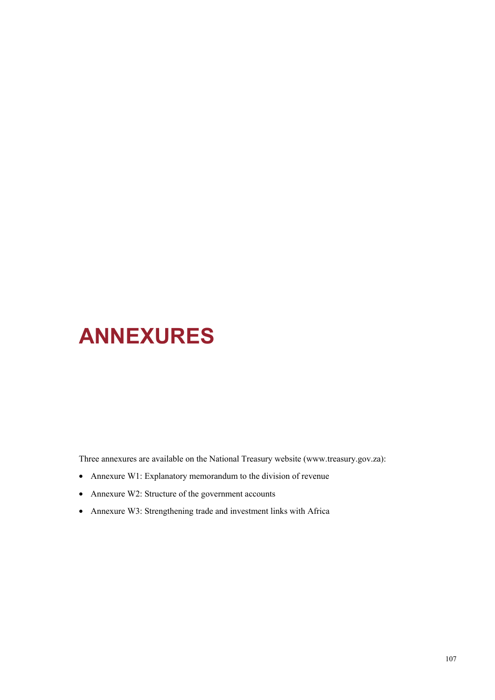# **ANNEXURES**

Three annexures are available on the National Treasury website (www.treasury.gov.za):

- Annexure W1: Explanatory memorandum to the division of revenue
- Annexure W2: Structure of the government accounts
- Annexure W3: Strengthening trade and investment links with Africa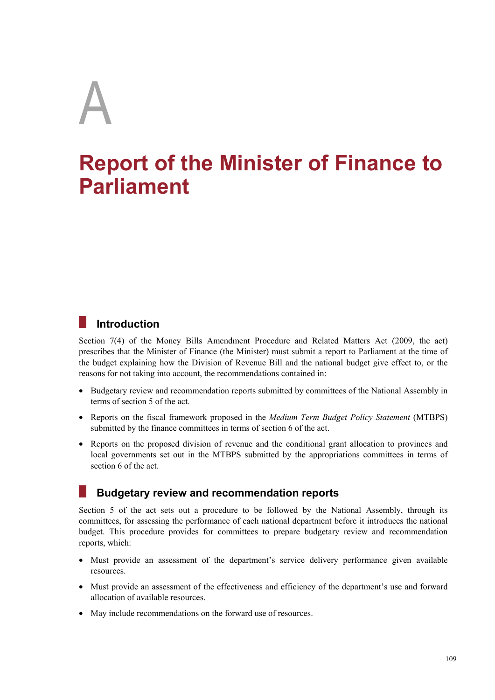# A

# **Report of the Minister of Finance to Parliament**

# **Introduction**

Section 7(4) of the Money Bills Amendment Procedure and Related Matters Act (2009, the act) prescribes that the Minister of Finance (the Minister) must submit a report to Parliament at the time of the budget explaining how the Division of Revenue Bill and the national budget give effect to, or the reasons for not taking into account, the recommendations contained in:

- Budgetary review and recommendation reports submitted by committees of the National Assembly in terms of section 5 of the act.
- Reports on the fiscal framework proposed in the *Medium Term Budget Policy Statement* (MTBPS) submitted by the finance committees in terms of section 6 of the act.
- Reports on the proposed division of revenue and the conditional grant allocation to provinces and local governments set out in the MTBPS submitted by the appropriations committees in terms of section 6 of the act.

# **Budgetary review and recommendation reports**

Section 5 of the act sets out a procedure to be followed by the National Assembly, through its committees, for assessing the performance of each national department before it introduces the national budget. This procedure provides for committees to prepare budgetary review and recommendation reports, which:

- Must provide an assessment of the department's service delivery performance given available resources.
- Must provide an assessment of the effectiveness and efficiency of the department's use and forward allocation of available resources.
- May include recommendations on the forward use of resources.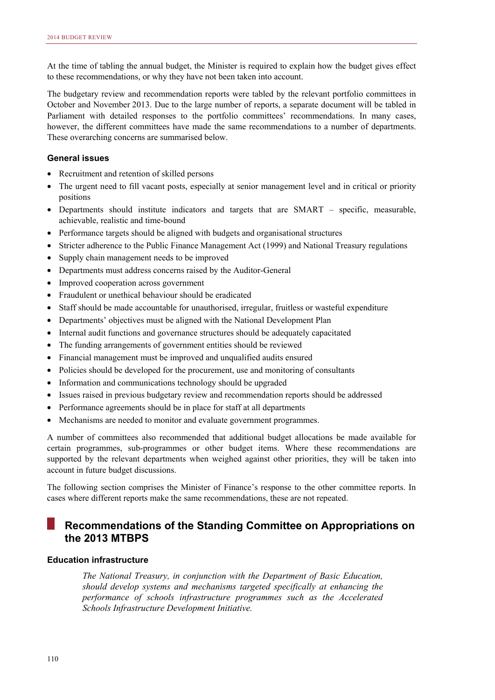At the time of tabling the annual budget, the Minister is required to explain how the budget gives effect to these recommendations, or why they have not been taken into account.

The budgetary review and recommendation reports were tabled by the relevant portfolio committees in October and November 2013. Due to the large number of reports, a separate document will be tabled in Parliament with detailed responses to the portfolio committees' recommendations. In many cases, however, the different committees have made the same recommendations to a number of departments. These overarching concerns are summarised below.

#### **General issues**

- Recruitment and retention of skilled persons
- The urgent need to fill vacant posts, especially at senior management level and in critical or priority positions
- Departments should institute indicators and targets that are SMART specific, measurable, achievable, realistic and time-bound
- Performance targets should be aligned with budgets and organisational structures
- Stricter adherence to the Public Finance Management Act (1999) and National Treasury regulations
- Supply chain management needs to be improved
- Departments must address concerns raised by the Auditor-General
- Improved cooperation across government
- Fraudulent or unethical behaviour should be eradicated
- Staff should be made accountable for unauthorised, irregular, fruitless or wasteful expenditure
- Departments' objectives must be aligned with the National Development Plan
- Internal audit functions and governance structures should be adequately capacitated
- The funding arrangements of government entities should be reviewed
- Financial management must be improved and unqualified audits ensured
- Policies should be developed for the procurement, use and monitoring of consultants
- Information and communications technology should be upgraded
- Issues raised in previous budgetary review and recommendation reports should be addressed
- Performance agreements should be in place for staff at all departments
- Mechanisms are needed to monitor and evaluate government programmes.

A number of committees also recommended that additional budget allocations be made available for certain programmes, sub-programmes or other budget items. Where these recommendations are supported by the relevant departments when weighed against other priorities, they will be taken into account in future budget discussions.

The following section comprises the Minister of Finance's response to the other committee reports. In cases where different reports make the same recommendations, these are not repeated.

### **Recommendations of the Standing Committee on Appropriations on the 2013 MTBPS**

#### **Education infrastructure**

*The National Treasury, in conjunction with the Department of Basic Education, should develop systems and mechanisms targeted specifically at enhancing the performance of schools infrastructure programmes such as the Accelerated Schools Infrastructure Development Initiative.*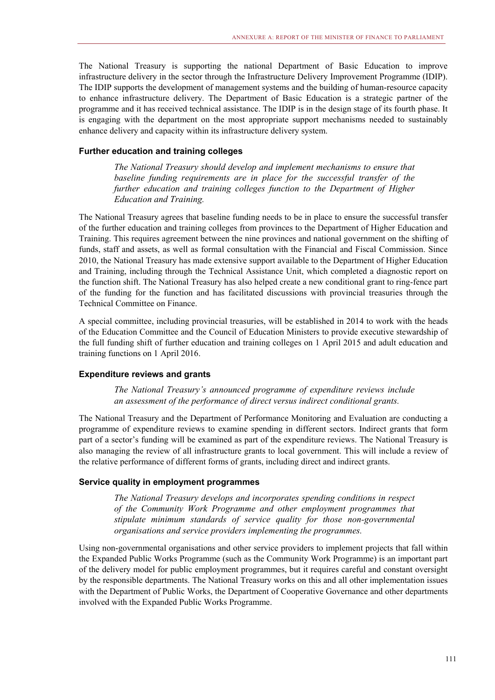The National Treasury is supporting the national Department of Basic Education to improve infrastructure delivery in the sector through the Infrastructure Delivery Improvement Programme (IDIP). The IDIP supports the development of management systems and the building of human-resource capacity to enhance infrastructure delivery. The Department of Basic Education is a strategic partner of the programme and it has received technical assistance. The IDIP is in the design stage of its fourth phase. It is engaging with the department on the most appropriate support mechanisms needed to sustainably enhance delivery and capacity within its infrastructure delivery system.

#### **Further education and training colleges**

*The National Treasury should develop and implement mechanisms to ensure that baseline funding requirements are in place for the successful transfer of the further education and training colleges function to the Department of Higher Education and Training.* 

The National Treasury agrees that baseline funding needs to be in place to ensure the successful transfer of the further education and training colleges from provinces to the Department of Higher Education and Training. This requires agreement between the nine provinces and national government on the shifting of funds, staff and assets, as well as formal consultation with the Financial and Fiscal Commission. Since 2010, the National Treasury has made extensive support available to the Department of Higher Education and Training, including through the Technical Assistance Unit, which completed a diagnostic report on the function shift. The National Treasury has also helped create a new conditional grant to ring-fence part of the funding for the function and has facilitated discussions with provincial treasuries through the Technical Committee on Finance.

A special committee, including provincial treasuries, will be established in 2014 to work with the heads of the Education Committee and the Council of Education Ministers to provide executive stewardship of the full funding shift of further education and training colleges on 1 April 2015 and adult education and training functions on 1 April 2016.

#### **Expenditure reviews and grants**

*The National Treasury's announced programme of expenditure reviews include an assessment of the performance of direct versus indirect conditional grants.* 

The National Treasury and the Department of Performance Monitoring and Evaluation are conducting a programme of expenditure reviews to examine spending in different sectors. Indirect grants that form part of a sector's funding will be examined as part of the expenditure reviews. The National Treasury is also managing the review of all infrastructure grants to local government. This will include a review of the relative performance of different forms of grants, including direct and indirect grants.

#### **Service quality in employment programmes**

*The National Treasury develops and incorporates spending conditions in respect of the Community Work Programme and other employment programmes that stipulate minimum standards of service quality for those non-governmental organisations and service providers implementing the programmes.* 

Using non-governmental organisations and other service providers to implement projects that fall within the Expanded Public Works Programme (such as the Community Work Programme) is an important part of the delivery model for public employment programmes, but it requires careful and constant oversight by the responsible departments. The National Treasury works on this and all other implementation issues with the Department of Public Works, the Department of Cooperative Governance and other departments involved with the Expanded Public Works Programme.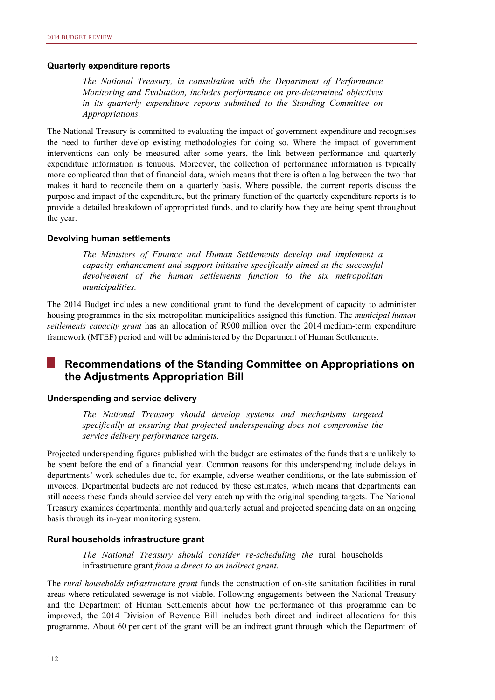#### **Quarterly expenditure reports**

*The National Treasury, in consultation with the Department of Performance Monitoring and Evaluation, includes performance on pre-determined objectives in its quarterly expenditure reports submitted to the Standing Committee on Appropriations.* 

The National Treasury is committed to evaluating the impact of government expenditure and recognises the need to further develop existing methodologies for doing so. Where the impact of government interventions can only be measured after some years, the link between performance and quarterly expenditure information is tenuous. Moreover, the collection of performance information is typically more complicated than that of financial data, which means that there is often a lag between the two that makes it hard to reconcile them on a quarterly basis. Where possible, the current reports discuss the purpose and impact of the expenditure, but the primary function of the quarterly expenditure reports is to provide a detailed breakdown of appropriated funds, and to clarify how they are being spent throughout the year.

#### **Devolving human settlements**

*The Ministers of Finance and Human Settlements develop and implement a capacity enhancement and support initiative specifically aimed at the successful devolvement of the human settlements function to the six metropolitan municipalities.* 

The 2014 Budget includes a new conditional grant to fund the development of capacity to administer housing programmes in the six metropolitan municipalities assigned this function. The *municipal human settlements capacity grant* has an allocation of R900 million over the 2014 medium-term expenditure framework (MTEF) period and will be administered by the Department of Human Settlements.

#### M. **Recommendations of the Standing Committee on Appropriations on the Adjustments Appropriation Bill**

#### **Underspending and service delivery**

*The National Treasury should develop systems and mechanisms targeted specifically at ensuring that projected underspending does not compromise the service delivery performance targets.* 

Projected underspending figures published with the budget are estimates of the funds that are unlikely to be spent before the end of a financial year. Common reasons for this underspending include delays in departments' work schedules due to, for example, adverse weather conditions, or the late submission of invoices. Departmental budgets are not reduced by these estimates, which means that departments can still access these funds should service delivery catch up with the original spending targets. The National Treasury examines departmental monthly and quarterly actual and projected spending data on an ongoing basis through its in-year monitoring system.

#### **Rural households infrastructure grant**

*The National Treasury should consider re-scheduling the* rural households infrastructure grant *from a direct to an indirect grant.* 

The *rural households infrastructure grant* funds the construction of on-site sanitation facilities in rural areas where reticulated sewerage is not viable. Following engagements between the National Treasury and the Department of Human Settlements about how the performance of this programme can be improved, the 2014 Division of Revenue Bill includes both direct and indirect allocations for this programme. About 60 per cent of the grant will be an indirect grant through which the Department of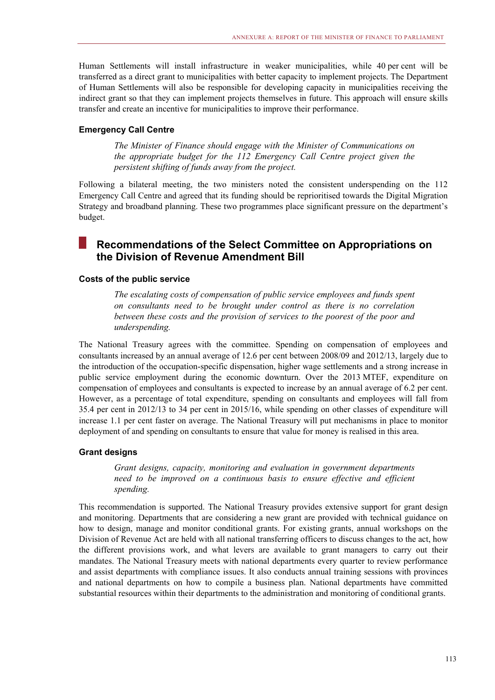Human Settlements will install infrastructure in weaker municipalities, while 40 per cent will be transferred as a direct grant to municipalities with better capacity to implement projects. The Department of Human Settlements will also be responsible for developing capacity in municipalities receiving the indirect grant so that they can implement projects themselves in future. This approach will ensure skills transfer and create an incentive for municipalities to improve their performance.

#### **Emergency Call Centre**

*The Minister of Finance should engage with the Minister of Communications on the appropriate budget for the 112 Emergency Call Centre project given the persistent shifting of funds away from the project.* 

Following a bilateral meeting, the two ministers noted the consistent underspending on the 112 Emergency Call Centre and agreed that its funding should be reprioritised towards the Digital Migration Strategy and broadband planning. These two programmes place significant pressure on the department's budget.

#### **Tale Recommendations of the Select Committee on Appropriations on the Division of Revenue Amendment Bill**

#### **Costs of the public service**

*The escalating costs of compensation of public service employees and funds spent on consultants need to be brought under control as there is no correlation between these costs and the provision of services to the poorest of the poor and underspending.* 

The National Treasury agrees with the committee. Spending on compensation of employees and consultants increased by an annual average of 12.6 per cent between 2008/09 and 2012/13, largely due to the introduction of the occupation-specific dispensation, higher wage settlements and a strong increase in public service employment during the economic downturn. Over the 2013 MTEF, expenditure on compensation of employees and consultants is expected to increase by an annual average of 6.2 per cent. However, as a percentage of total expenditure, spending on consultants and employees will fall from 35.4 per cent in 2012/13 to 34 per cent in 2015/16, while spending on other classes of expenditure will increase 1.1 per cent faster on average. The National Treasury will put mechanisms in place to monitor deployment of and spending on consultants to ensure that value for money is realised in this area.

#### **Grant designs**

*Grant designs, capacity, monitoring and evaluation in government departments need to be improved on a continuous basis to ensure effective and efficient spending.* 

This recommendation is supported. The National Treasury provides extensive support for grant design and monitoring. Departments that are considering a new grant are provided with technical guidance on how to design, manage and monitor conditional grants. For existing grants, annual workshops on the Division of Revenue Act are held with all national transferring officers to discuss changes to the act, how the different provisions work, and what levers are available to grant managers to carry out their mandates. The National Treasury meets with national departments every quarter to review performance and assist departments with compliance issues. It also conducts annual training sessions with provinces and national departments on how to compile a business plan. National departments have committed substantial resources within their departments to the administration and monitoring of conditional grants.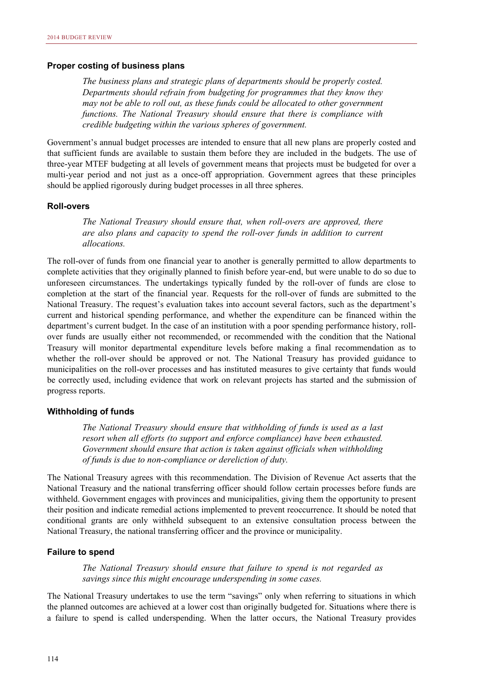#### **Proper costing of business plans**

*The business plans and strategic plans of departments should be properly costed. Departments should refrain from budgeting for programmes that they know they may not be able to roll out, as these funds could be allocated to other government functions. The National Treasury should ensure that there is compliance with credible budgeting within the various spheres of government.* 

Government's annual budget processes are intended to ensure that all new plans are properly costed and that sufficient funds are available to sustain them before they are included in the budgets. The use of three-year MTEF budgeting at all levels of government means that projects must be budgeted for over a multi-year period and not just as a once-off appropriation. Government agrees that these principles should be applied rigorously during budget processes in all three spheres.

#### **Roll-overs**

*The National Treasury should ensure that, when roll-overs are approved, there are also plans and capacity to spend the roll-over funds in addition to current allocations.* 

The roll-over of funds from one financial year to another is generally permitted to allow departments to complete activities that they originally planned to finish before year-end, but were unable to do so due to unforeseen circumstances. The undertakings typically funded by the roll-over of funds are close to completion at the start of the financial year. Requests for the roll-over of funds are submitted to the National Treasury. The request's evaluation takes into account several factors, such as the department's current and historical spending performance, and whether the expenditure can be financed within the department's current budget. In the case of an institution with a poor spending performance history, rollover funds are usually either not recommended, or recommended with the condition that the National Treasury will monitor departmental expenditure levels before making a final recommendation as to whether the roll-over should be approved or not. The National Treasury has provided guidance to municipalities on the roll-over processes and has instituted measures to give certainty that funds would be correctly used, including evidence that work on relevant projects has started and the submission of progress reports.

#### **Withholding of funds**

*The National Treasury should ensure that withholding of funds is used as a last resort when all efforts (to support and enforce compliance) have been exhausted. Government should ensure that action is taken against officials when withholding of funds is due to non-compliance or dereliction of duty.* 

The National Treasury agrees with this recommendation. The Division of Revenue Act asserts that the National Treasury and the national transferring officer should follow certain processes before funds are withheld. Government engages with provinces and municipalities, giving them the opportunity to present their position and indicate remedial actions implemented to prevent reoccurrence. It should be noted that conditional grants are only withheld subsequent to an extensive consultation process between the National Treasury, the national transferring officer and the province or municipality.

#### **Failure to spend**

*The National Treasury should ensure that failure to spend is not regarded as savings since this might encourage underspending in some cases.* 

The National Treasury undertakes to use the term "savings" only when referring to situations in which the planned outcomes are achieved at a lower cost than originally budgeted for. Situations where there is a failure to spend is called underspending. When the latter occurs, the National Treasury provides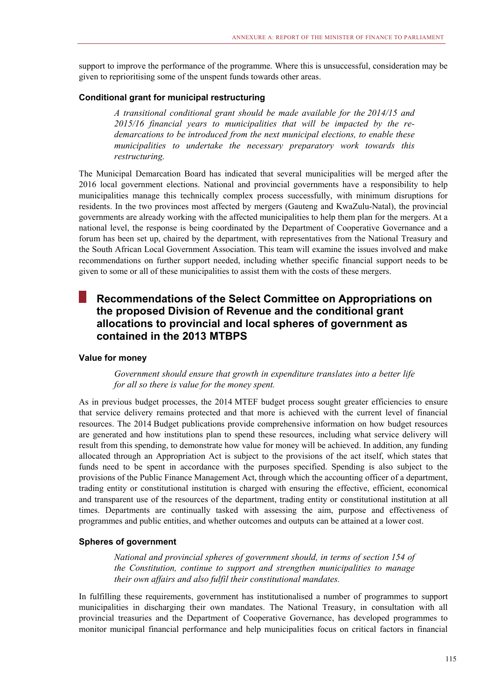support to improve the performance of the programme. Where this is unsuccessful, consideration may be given to reprioritising some of the unspent funds towards other areas.

#### **Conditional grant for municipal restructuring**

*A transitional conditional grant should be made available for the 2014/15 and 2015/16 financial years to municipalities that will be impacted by the redemarcations to be introduced from the next municipal elections, to enable these municipalities to undertake the necessary preparatory work towards this restructuring.* 

The Municipal Demarcation Board has indicated that several municipalities will be merged after the 2016 local government elections. National and provincial governments have a responsibility to help municipalities manage this technically complex process successfully, with minimum disruptions for residents. In the two provinces most affected by mergers (Gauteng and KwaZulu-Natal), the provincial governments are already working with the affected municipalities to help them plan for the mergers. At a national level, the response is being coordinated by the Department of Cooperative Governance and a forum has been set up, chaired by the department, with representatives from the National Treasury and the South African Local Government Association. This team will examine the issues involved and make recommendations on further support needed, including whether specific financial support needs to be given to some or all of these municipalities to assist them with the costs of these mergers.

## **Recommendations of the Select Committee on Appropriations on the proposed Division of Revenue and the conditional grant allocations to provincial and local spheres of government as contained in the 2013 MTBPS**

#### **Value for money**

*Government should ensure that growth in expenditure translates into a better life for all so there is value for the money spent.* 

As in previous budget processes, the 2014 MTEF budget process sought greater efficiencies to ensure that service delivery remains protected and that more is achieved with the current level of financial resources. The 2014 Budget publications provide comprehensive information on how budget resources are generated and how institutions plan to spend these resources, including what service delivery will result from this spending, to demonstrate how value for money will be achieved. In addition, any funding allocated through an Appropriation Act is subject to the provisions of the act itself, which states that funds need to be spent in accordance with the purposes specified. Spending is also subject to the provisions of the Public Finance Management Act, through which the accounting officer of a department, trading entity or constitutional institution is charged with ensuring the effective, efficient, economical and transparent use of the resources of the department, trading entity or constitutional institution at all times. Departments are continually tasked with assessing the aim, purpose and effectiveness of programmes and public entities, and whether outcomes and outputs can be attained at a lower cost.

#### **Spheres of government**

*National and provincial spheres of government should, in terms of section 154 of the Constitution, continue to support and strengthen municipalities to manage their own affairs and also fulfil their constitutional mandates.* 

In fulfilling these requirements, government has institutionalised a number of programmes to support municipalities in discharging their own mandates. The National Treasury, in consultation with all provincial treasuries and the Department of Cooperative Governance, has developed programmes to monitor municipal financial performance and help municipalities focus on critical factors in financial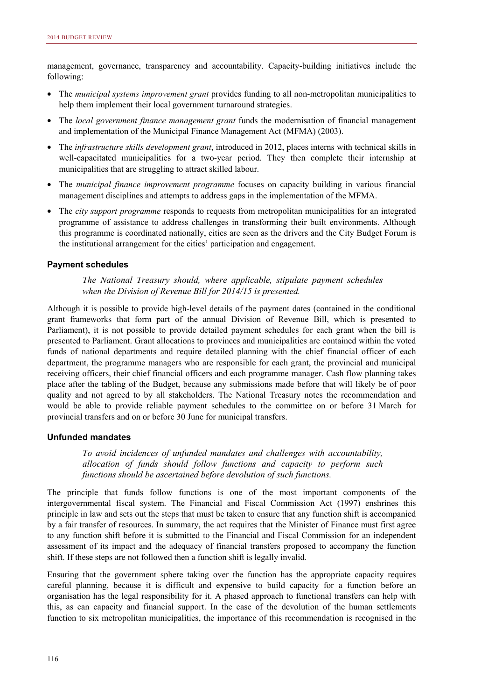management, governance, transparency and accountability. Capacity-building initiatives include the following:

- The *municipal systems improvement grant* provides funding to all non-metropolitan municipalities to help them implement their local government turnaround strategies.
- The *local government finance management grant* funds the modernisation of financial management and implementation of the Municipal Finance Management Act (MFMA) (2003).
- The *infrastructure skills development grant*, introduced in 2012, places interns with technical skills in well-capacitated municipalities for a two-year period. They then complete their internship at municipalities that are struggling to attract skilled labour.
- The *municipal finance improvement programme* focuses on capacity building in various financial management disciplines and attempts to address gaps in the implementation of the MFMA.
- The *city support programme* responds to requests from metropolitan municipalities for an integrated programme of assistance to address challenges in transforming their built environments. Although this programme is coordinated nationally, cities are seen as the drivers and the City Budget Forum is the institutional arrangement for the cities' participation and engagement.

#### **Payment schedules**

*The National Treasury should, where applicable, stipulate payment schedules when the Division of Revenue Bill for 2014/15 is presented.* 

Although it is possible to provide high-level details of the payment dates (contained in the conditional grant frameworks that form part of the annual Division of Revenue Bill, which is presented to Parliament), it is not possible to provide detailed payment schedules for each grant when the bill is presented to Parliament. Grant allocations to provinces and municipalities are contained within the voted funds of national departments and require detailed planning with the chief financial officer of each department, the programme managers who are responsible for each grant, the provincial and municipal receiving officers, their chief financial officers and each programme manager. Cash flow planning takes place after the tabling of the Budget, because any submissions made before that will likely be of poor quality and not agreed to by all stakeholders. The National Treasury notes the recommendation and would be able to provide reliable payment schedules to the committee on or before 31 March for provincial transfers and on or before 30 June for municipal transfers.

#### **Unfunded mandates**

*To avoid incidences of unfunded mandates and challenges with accountability, allocation of funds should follow functions and capacity to perform such functions should be ascertained before devolution of such functions.* 

The principle that funds follow functions is one of the most important components of the intergovernmental fiscal system. The Financial and Fiscal Commission Act (1997) enshrines this principle in law and sets out the steps that must be taken to ensure that any function shift is accompanied by a fair transfer of resources. In summary, the act requires that the Minister of Finance must first agree to any function shift before it is submitted to the Financial and Fiscal Commission for an independent assessment of its impact and the adequacy of financial transfers proposed to accompany the function shift. If these steps are not followed then a function shift is legally invalid.

Ensuring that the government sphere taking over the function has the appropriate capacity requires careful planning, because it is difficult and expensive to build capacity for a function before an organisation has the legal responsibility for it. A phased approach to functional transfers can help with this, as can capacity and financial support. In the case of the devolution of the human settlements function to six metropolitan municipalities, the importance of this recommendation is recognised in the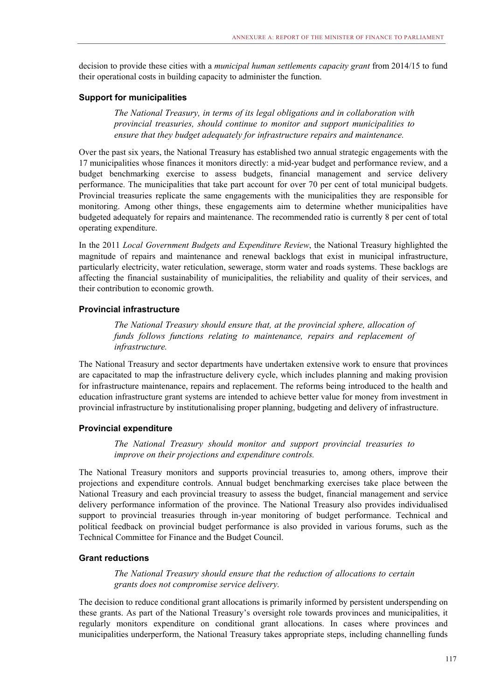decision to provide these cities with a *municipal human settlements capacity grant* from 2014/15 to fund their operational costs in building capacity to administer the function.

#### **Support for municipalities**

*The National Treasury, in terms of its legal obligations and in collaboration with provincial treasuries, should continue to monitor and support municipalities to ensure that they budget adequately for infrastructure repairs and maintenance.* 

Over the past six years, the National Treasury has established two annual strategic engagements with the 17 municipalities whose finances it monitors directly: a mid-year budget and performance review, and a budget benchmarking exercise to assess budgets, financial management and service delivery performance. The municipalities that take part account for over 70 per cent of total municipal budgets. Provincial treasuries replicate the same engagements with the municipalities they are responsible for monitoring. Among other things, these engagements aim to determine whether municipalities have budgeted adequately for repairs and maintenance. The recommended ratio is currently 8 per cent of total operating expenditure.

In the 2011 *Local Government Budgets and Expenditure Review*, the National Treasury highlighted the magnitude of repairs and maintenance and renewal backlogs that exist in municipal infrastructure, particularly electricity, water reticulation, sewerage, storm water and roads systems. These backlogs are affecting the financial sustainability of municipalities, the reliability and quality of their services, and their contribution to economic growth.

#### **Provincial infrastructure**

*The National Treasury should ensure that, at the provincial sphere, allocation of funds follows functions relating to maintenance, repairs and replacement of infrastructure.* 

The National Treasury and sector departments have undertaken extensive work to ensure that provinces are capacitated to map the infrastructure delivery cycle, which includes planning and making provision for infrastructure maintenance, repairs and replacement. The reforms being introduced to the health and education infrastructure grant systems are intended to achieve better value for money from investment in provincial infrastructure by institutionalising proper planning, budgeting and delivery of infrastructure.

#### **Provincial expenditure**

*The National Treasury should monitor and support provincial treasuries to improve on their projections and expenditure controls.* 

The National Treasury monitors and supports provincial treasuries to, among others, improve their projections and expenditure controls. Annual budget benchmarking exercises take place between the National Treasury and each provincial treasury to assess the budget, financial management and service delivery performance information of the province. The National Treasury also provides individualised support to provincial treasuries through in-year monitoring of budget performance. Technical and political feedback on provincial budget performance is also provided in various forums, such as the Technical Committee for Finance and the Budget Council.

#### **Grant reductions**

*The National Treasury should ensure that the reduction of allocations to certain grants does not compromise service delivery.* 

The decision to reduce conditional grant allocations is primarily informed by persistent underspending on these grants. As part of the National Treasury's oversight role towards provinces and municipalities, it regularly monitors expenditure on conditional grant allocations. In cases where provinces and municipalities underperform, the National Treasury takes appropriate steps, including channelling funds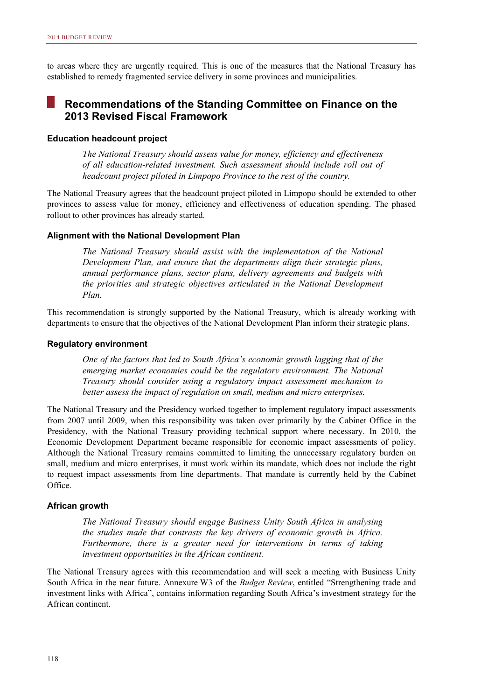to areas where they are urgently required. This is one of the measures that the National Treasury has established to remedy fragmented service delivery in some provinces and municipalities.

## **Recommendations of the Standing Committee on Finance on the 2013 Revised Fiscal Framework**

#### **Education headcount project**

*The National Treasury should assess value for money, efficiency and effectiveness of all education-related investment. Such assessment should include roll out of headcount project piloted in Limpopo Province to the rest of the country.* 

The National Treasury agrees that the headcount project piloted in Limpopo should be extended to other provinces to assess value for money, efficiency and effectiveness of education spending. The phased rollout to other provinces has already started.

#### **Alignment with the National Development Plan**

*The National Treasury should assist with the implementation of the National Development Plan, and ensure that the departments align their strategic plans, annual performance plans, sector plans, delivery agreements and budgets with the priorities and strategic objectives articulated in the National Development Plan.* 

This recommendation is strongly supported by the National Treasury, which is already working with departments to ensure that the objectives of the National Development Plan inform their strategic plans.

#### **Regulatory environment**

*One of the factors that led to South Africa's economic growth lagging that of the emerging market economies could be the regulatory environment. The National Treasury should consider using a regulatory impact assessment mechanism to better assess the impact of regulation on small, medium and micro enterprises.* 

The National Treasury and the Presidency worked together to implement regulatory impact assessments from 2007 until 2009, when this responsibility was taken over primarily by the Cabinet Office in the Presidency, with the National Treasury providing technical support where necessary. In 2010, the Economic Development Department became responsible for economic impact assessments of policy. Although the National Treasury remains committed to limiting the unnecessary regulatory burden on small, medium and micro enterprises, it must work within its mandate, which does not include the right to request impact assessments from line departments. That mandate is currently held by the Cabinet Office.

#### **African growth**

*The National Treasury should engage Business Unity South Africa in analysing the studies made that contrasts the key drivers of economic growth in Africa. Furthermore, there is a greater need for interventions in terms of taking investment opportunities in the African continent.* 

The National Treasury agrees with this recommendation and will seek a meeting with Business Unity South Africa in the near future. Annexure W3 of the *Budget Review*, entitled "Strengthening trade and investment links with Africa", contains information regarding South Africa's investment strategy for the African continent.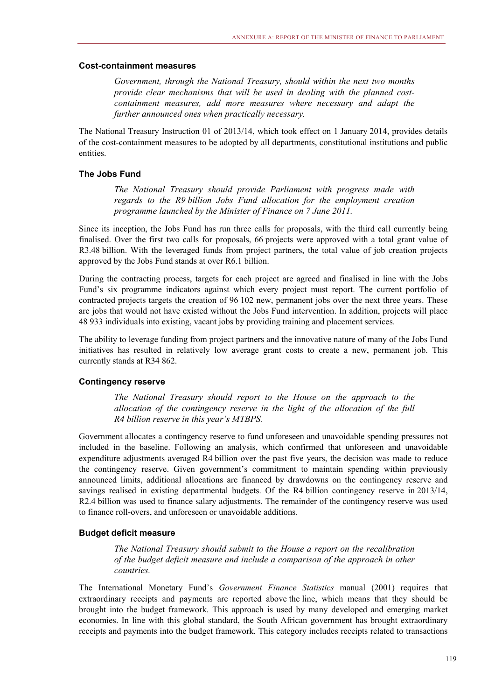#### **Cost-containment measures**

*Government, through the National Treasury, should within the next two months provide clear mechanisms that will be used in dealing with the planned costcontainment measures, add more measures where necessary and adapt the further announced ones when practically necessary.* 

The National Treasury Instruction 01 of 2013/14, which took effect on 1 January 2014, provides details of the cost-containment measures to be adopted by all departments, constitutional institutions and public entities.

#### **The Jobs Fund**

*The National Treasury should provide Parliament with progress made with regards to the R9 billion Jobs Fund allocation for the employment creation programme launched by the Minister of Finance on 7 June 2011.* 

Since its inception, the Jobs Fund has run three calls for proposals, with the third call currently being finalised. Over the first two calls for proposals, 66 projects were approved with a total grant value of R3.48 billion. With the leveraged funds from project partners, the total value of job creation projects approved by the Jobs Fund stands at over R6.1 billion.

During the contracting process, targets for each project are agreed and finalised in line with the Jobs Fund's six programme indicators against which every project must report. The current portfolio of contracted projects targets the creation of 96 102 new, permanent jobs over the next three years. These are jobs that would not have existed without the Jobs Fund intervention. In addition, projects will place 48 933 individuals into existing, vacant jobs by providing training and placement services.

The ability to leverage funding from project partners and the innovative nature of many of the Jobs Fund initiatives has resulted in relatively low average grant costs to create a new, permanent job. This currently stands at R34 862.

#### **Contingency reserve**

*The National Treasury should report to the House on the approach to the allocation of the contingency reserve in the light of the allocation of the full R4 billion reserve in this year's MTBPS.* 

Government allocates a contingency reserve to fund unforeseen and unavoidable spending pressures not included in the baseline. Following an analysis, which confirmed that unforeseen and unavoidable expenditure adjustments averaged R4 billion over the past five years, the decision was made to reduce the contingency reserve. Given government's commitment to maintain spending within previously announced limits, additional allocations are financed by drawdowns on the contingency reserve and savings realised in existing departmental budgets. Of the R4 billion contingency reserve in 2013/14, R2.4 billion was used to finance salary adjustments. The remainder of the contingency reserve was used to finance roll-overs, and unforeseen or unavoidable additions.

#### **Budget deficit measure**

*The National Treasury should submit to the House a report on the recalibration of the budget deficit measure and include a comparison of the approach in other countries.* 

The International Monetary Fund's *Government Finance Statistics* manual (2001) requires that extraordinary receipts and payments are reported above the line, which means that they should be brought into the budget framework. This approach is used by many developed and emerging market economies. In line with this global standard, the South African government has brought extraordinary receipts and payments into the budget framework. This category includes receipts related to transactions